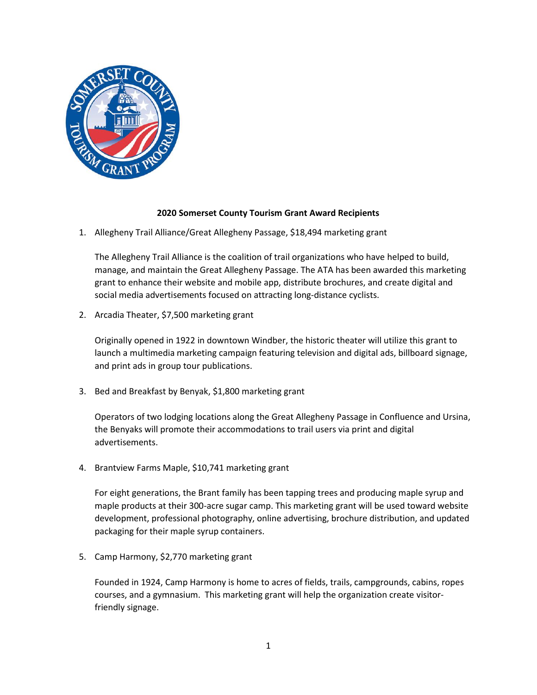

## **2020 Somerset County Tourism Grant Award Recipients**

1. Allegheny Trail Alliance/Great Allegheny Passage, \$18,494 marketing grant

The Allegheny Trail Alliance is the coalition of trail organizations who have helped to build, manage, and maintain the Great Allegheny Passage. The ATA has been awarded this marketing grant to enhance their website and mobile app, distribute brochures, and create digital and social media advertisements focused on attracting long-distance cyclists.

2. Arcadia Theater, \$7,500 marketing grant

Originally opened in 1922 in downtown Windber, the historic theater will utilize this grant to launch a multimedia marketing campaign featuring television and digital ads, billboard signage, and print ads in group tour publications.

3. Bed and Breakfast by Benyak, \$1,800 marketing grant

Operators of two lodging locations along the Great Allegheny Passage in Confluence and Ursina, the Benyaks will promote their accommodations to trail users via print and digital advertisements.

4. Brantview Farms Maple, \$10,741 marketing grant

For eight generations, the Brant family has been tapping trees and producing maple syrup and maple products at their 300-acre sugar camp. This marketing grant will be used toward website development, professional photography, online advertising, brochure distribution, and updated packaging for their maple syrup containers.

5. Camp Harmony, \$2,770 marketing grant

Founded in 1924, Camp Harmony is home to acres of fields, trails, campgrounds, cabins, ropes courses, and a gymnasium. This marketing grant will help the organization create visitorfriendly signage.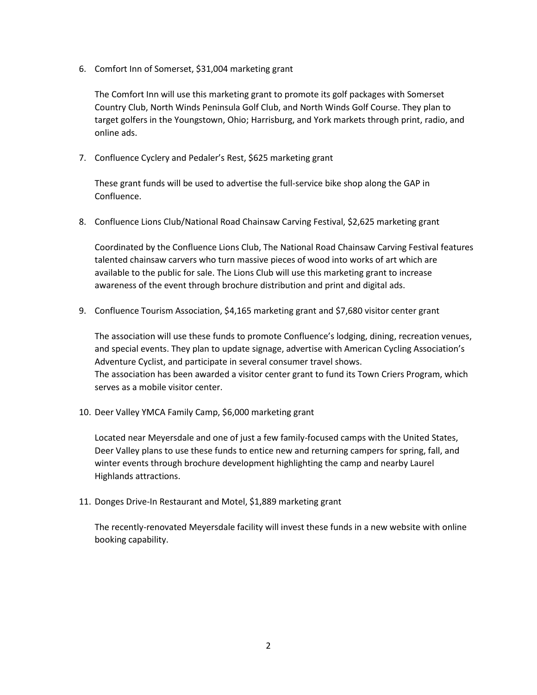6. Comfort Inn of Somerset, \$31,004 marketing grant

The Comfort Inn will use this marketing grant to promote its golf packages with Somerset Country Club, North Winds Peninsula Golf Club, and North Winds Golf Course. They plan to target golfers in the Youngstown, Ohio; Harrisburg, and York markets through print, radio, and online ads.

7. Confluence Cyclery and Pedaler's Rest, \$625 marketing grant

These grant funds will be used to advertise the full-service bike shop along the GAP in Confluence.

8. Confluence Lions Club/National Road Chainsaw Carving Festival, \$2,625 marketing grant

Coordinated by the Confluence Lions Club, The National Road Chainsaw Carving Festival features talented chainsaw carvers who turn massive pieces of wood into works of art which are available to the public for sale. The Lions Club will use this marketing grant to increase awareness of the event through brochure distribution and print and digital ads.

9. Confluence Tourism Association, \$4,165 marketing grant and \$7,680 visitor center grant

The association will use these funds to promote Confluence's lodging, dining, recreation venues, and special events. They plan to update signage, advertise with American Cycling Association's Adventure Cyclist, and participate in several consumer travel shows. The association has been awarded a visitor center grant to fund its Town Criers Program, which serves as a mobile visitor center.

10. Deer Valley YMCA Family Camp, \$6,000 marketing grant

Located near Meyersdale and one of just a few family-focused camps with the United States, Deer Valley plans to use these funds to entice new and returning campers for spring, fall, and winter events through brochure development highlighting the camp and nearby Laurel Highlands attractions.

11. Donges Drive-In Restaurant and Motel, \$1,889 marketing grant

The recently-renovated Meyersdale facility will invest these funds in a new website with online booking capability.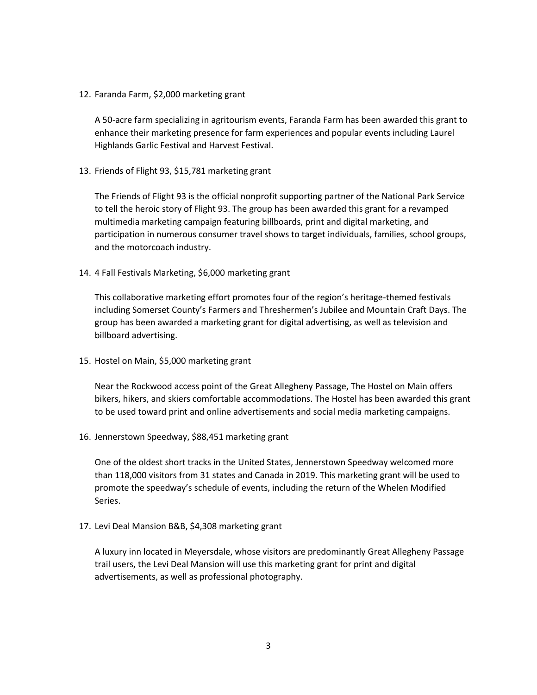12. Faranda Farm, \$2,000 marketing grant

A 50-acre farm specializing in agritourism events, Faranda Farm has been awarded this grant to enhance their marketing presence for farm experiences and popular events including Laurel Highlands Garlic Festival and Harvest Festival.

13. Friends of Flight 93, \$15,781 marketing grant

The Friends of Flight 93 is the official nonprofit supporting partner of the National Park Service to tell the heroic story of Flight 93. The group has been awarded this grant for a revamped multimedia marketing campaign featuring billboards, print and digital marketing, and participation in numerous consumer travel shows to target individuals, families, school groups, and the motorcoach industry.

14. 4 Fall Festivals Marketing, \$6,000 marketing grant

This collaborative marketing effort promotes four of the region's heritage-themed festivals including Somerset County's Farmers and Threshermen's Jubilee and Mountain Craft Days. The group has been awarded a marketing grant for digital advertising, as well as television and billboard advertising.

15. Hostel on Main, \$5,000 marketing grant

Near the Rockwood access point of the Great Allegheny Passage, The Hostel on Main offers bikers, hikers, and skiers comfortable accommodations. The Hostel has been awarded this grant to be used toward print and online advertisements and social media marketing campaigns.

16. Jennerstown Speedway, \$88,451 marketing grant

One of the oldest short tracks in the United States, Jennerstown Speedway welcomed more than 118,000 visitors from 31 states and Canada in 2019. This marketing grant will be used to promote the speedway's schedule of events, including the return of the Whelen Modified Series.

17. Levi Deal Mansion B&B, \$4,308 marketing grant

A luxury inn located in Meyersdale, whose visitors are predominantly Great Allegheny Passage trail users, the Levi Deal Mansion will use this marketing grant for print and digital advertisements, as well as professional photography.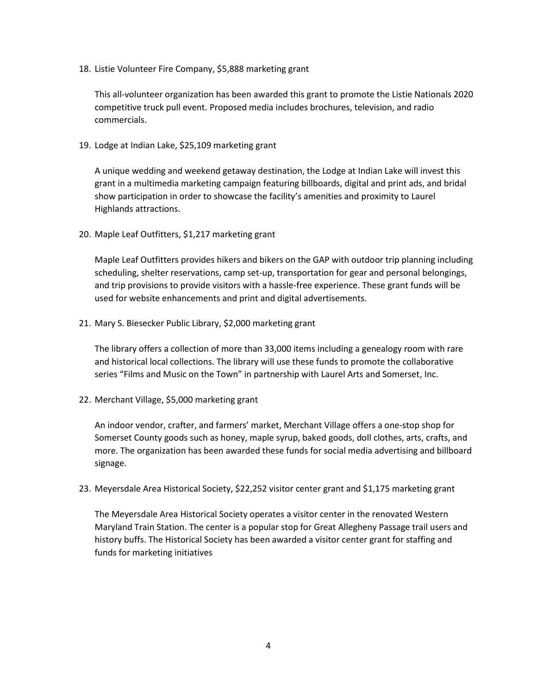18. Listie Volunteer Fire Company, \$5,888 marketing grant

This all-volunteer organization has been awarded this grant to promote the Listie Nationals 2020 competitive truck pull event. Proposed media includes brochures, television, and radio commercials.

19. Lodge at Indian Lake, \$25,109 marketing grant

A unique wedding and weekend getaway destination, the Lodge at Indian Lake will invest this grant in a multimedia marketing campaign featuring billboards, digital and print ads, and bridal show participation in order to showcase the facility's amenities and proximity to Laurel Highlands attractions.

20. Maple Leaf Outfitters, \$1,217 marketing grant

Maple Leaf Outfitters provides hikers and bikers on the GAP with outdoor trip planning including scheduling, shelter reservations, camp set-up, transportation for gear and personal belongings, and trip provisions to provide visitors with a hassle-free experience. These grant funds will be used for website enhancements and print and digital advertisements.

21. Mary S. Biesecker Public Library, \$2,000 marketing grant

The library offers a collection of more than 33,000 items including a genealogy room with rare and historical local collections. The library will use these funds to promote the collaborative series "Films and Music on the Town" in partnership with Laurel Arts and Somerset, Inc.

22. Merchant Village, \$5,000 marketing grant

An indoor vendor, crafter, and farmers' market, Merchant Village offers a one-stop shop for Somerset County goods such as honey, maple syrup, baked goods, doll clothes, arts, crafts, and more. The organization has been awarded these funds for social media advertising and billboard signage.

23. Meyersdale Area Historical Society, \$22,252 visitor center grant and \$1,175 marketing grant

The Meyersdale Area Historical Society operates a visitor center in the renovated Western Maryland Train Station. The center is a popular stop for Great Allegheny Passage trail users and history buffs. The Historical Society has been awarded a visitor center grant for staffing and funds for marketing initiatives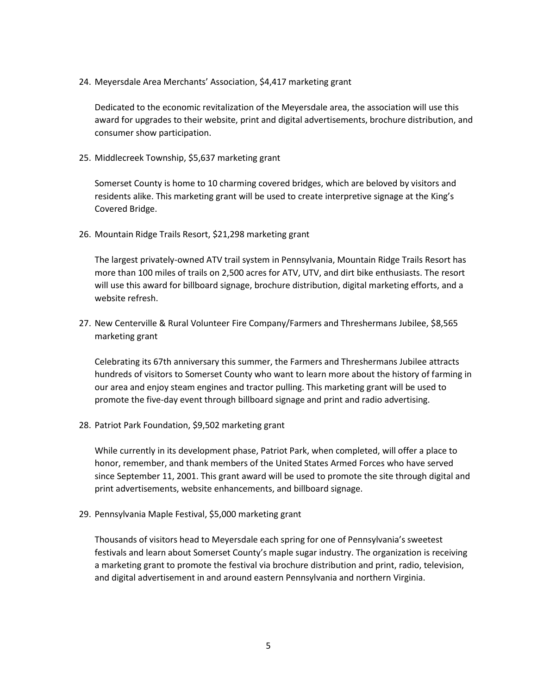24. Meyersdale Area Merchants' Association, \$4,417 marketing grant

Dedicated to the economic revitalization of the Meyersdale area, the association will use this award for upgrades to their website, print and digital advertisements, brochure distribution, and consumer show participation.

25. Middlecreek Township, \$5,637 marketing grant

Somerset County is home to 10 charming covered bridges, which are beloved by visitors and residents alike. This marketing grant will be used to create interpretive signage at the King's Covered Bridge.

26. Mountain Ridge Trails Resort, \$21,298 marketing grant

The largest privately-owned ATV trail system in Pennsylvania, Mountain Ridge Trails Resort has more than 100 miles of trails on 2,500 acres for ATV, UTV, and dirt bike enthusiasts. The resort will use this award for billboard signage, brochure distribution, digital marketing efforts, and a website refresh.

27. New Centerville & Rural Volunteer Fire Company/Farmers and Threshermans Jubilee, \$8,565 marketing grant

Celebrating its 67th anniversary this summer, the Farmers and Threshermans Jubilee attracts hundreds of visitors to Somerset County who want to learn more about the history of farming in our area and enjoy steam engines and tractor pulling. This marketing grant will be used to promote the five-day event through billboard signage and print and radio advertising.

28. Patriot Park Foundation, \$9,502 marketing grant

While currently in its development phase, Patriot Park, when completed, will offer a place to honor, remember, and thank members of the United States Armed Forces who have served since September 11, 2001. This grant award will be used to promote the site through digital and print advertisements, website enhancements, and billboard signage.

29. Pennsylvania Maple Festival, \$5,000 marketing grant

Thousands of visitors head to Meyersdale each spring for one of Pennsylvania's sweetest festivals and learn about Somerset County's maple sugar industry. The organization is receiving a marketing grant to promote the festival via brochure distribution and print, radio, television, and digital advertisement in and around eastern Pennsylvania and northern Virginia.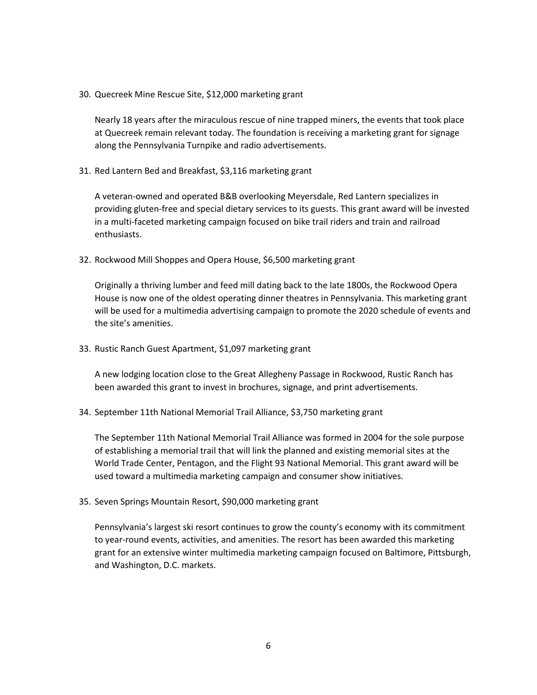30. Quecreek Mine Rescue Site, \$12,000 marketing grant

Nearly 18 years after the miraculous rescue of nine trapped miners, the events that took place at Quecreek remain relevant today. The foundation is receiving a marketing grant for signage along the Pennsylvania Turnpike and radio advertisements.

31. Red Lantern Bed and Breakfast, \$3,116 marketing grant

A veteran-owned and operated B&B overlooking Meyersdale, Red Lantern specializes in providing gluten-free and special dietary services to its guests. This grant award will be invested in a multi-faceted marketing campaign focused on bike trail riders and train and railroad enthusiasts.

32. Rockwood Mill Shoppes and Opera House, \$6,500 marketing grant

Originally a thriving lumber and feed mill dating back to the late 1800s, the Rockwood Opera House is now one of the oldest operating dinner theatres in Pennsylvania. This marketing grant will be used for a multimedia advertising campaign to promote the 2020 schedule of events and the site's amenities.

33. Rustic Ranch Guest Apartment, \$1,097 marketing grant

A new lodging location close to the Great Allegheny Passage in Rockwood, Rustic Ranch has been awarded this grant to invest in brochures, signage, and print advertisements.

34. September 11th National Memorial Trail Alliance, \$3,750 marketing grant

The September 11th National Memorial Trail Alliance was formed in 2004 for the sole purpose of establishing a memorial trail that will link the planned and existing memorial sites at the World Trade Center, Pentagon, and the Flight 93 National Memorial. This grant award will be used toward a multimedia marketing campaign and consumer show initiatives.

35. Seven Springs Mountain Resort, \$90,000 marketing grant

Pennsylvania's largest ski resort continues to grow the county's economy with its commitment to year-round events, activities, and amenities. The resort has been awarded this marketing grant for an extensive winter multimedia marketing campaign focused on Baltimore, Pittsburgh, and Washington, D.C. markets.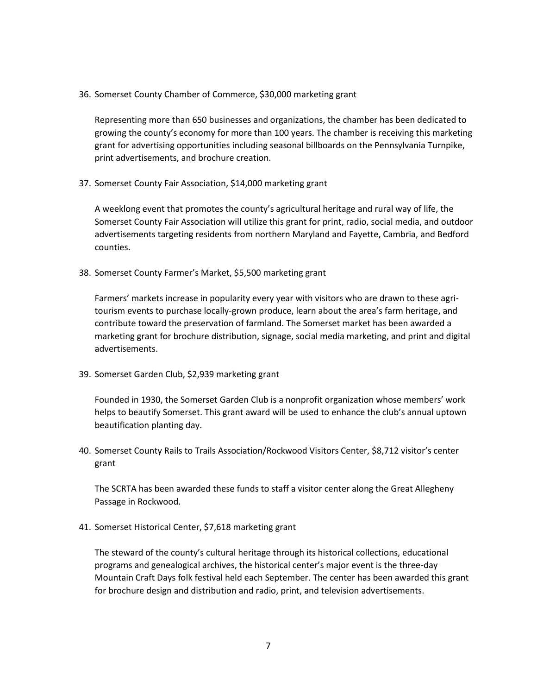36. Somerset County Chamber of Commerce, \$30,000 marketing grant

Representing more than 650 businesses and organizations, the chamber has been dedicated to growing the county's economy for more than 100 years. The chamber is receiving this marketing grant for advertising opportunities including seasonal billboards on the Pennsylvania Turnpike, print advertisements, and brochure creation.

37. Somerset County Fair Association, \$14,000 marketing grant

A weeklong event that promotes the county's agricultural heritage and rural way of life, the Somerset County Fair Association will utilize this grant for print, radio, social media, and outdoor advertisements targeting residents from northern Maryland and Fayette, Cambria, and Bedford counties.

38. Somerset County Farmer's Market, \$5,500 marketing grant

Farmers' markets increase in popularity every year with visitors who are drawn to these agritourism events to purchase locally-grown produce, learn about the area's farm heritage, and contribute toward the preservation of farmland. The Somerset market has been awarded a marketing grant for brochure distribution, signage, social media marketing, and print and digital advertisements.

39. Somerset Garden Club, \$2,939 marketing grant

Founded in 1930, the Somerset Garden Club is a nonprofit organization whose members' work helps to beautify Somerset. This grant award will be used to enhance the club's annual uptown beautification planting day.

40. Somerset County Rails to Trails Association/Rockwood Visitors Center, \$8,712 visitor's center grant

The SCRTA has been awarded these funds to staff a visitor center along the Great Allegheny Passage in Rockwood.

41. Somerset Historical Center, \$7,618 marketing grant

The steward of the county's cultural heritage through its historical collections, educational programs and genealogical archives, the historical center's major event is the three-day Mountain Craft Days folk festival held each September. The center has been awarded this grant for brochure design and distribution and radio, print, and television advertisements.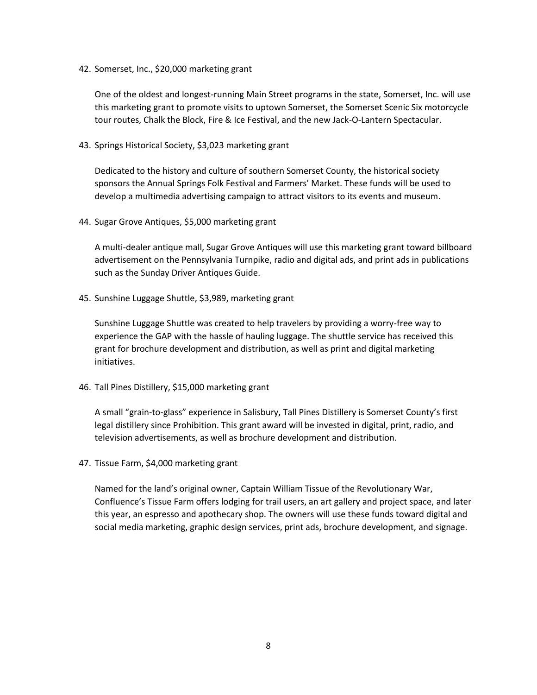42. Somerset, Inc., \$20,000 marketing grant

One of the oldest and longest-running Main Street programs in the state, Somerset, Inc. will use this marketing grant to promote visits to uptown Somerset, the Somerset Scenic Six motorcycle tour routes, Chalk the Block, Fire & Ice Festival, and the new Jack-O-Lantern Spectacular.

43. Springs Historical Society, \$3,023 marketing grant

Dedicated to the history and culture of southern Somerset County, the historical society sponsors the Annual Springs Folk Festival and Farmers' Market. These funds will be used to develop a multimedia advertising campaign to attract visitors to its events and museum.

44. Sugar Grove Antiques, \$5,000 marketing grant

A multi-dealer antique mall, Sugar Grove Antiques will use this marketing grant toward billboard advertisement on the Pennsylvania Turnpike, radio and digital ads, and print ads in publications such as the Sunday Driver Antiques Guide.

45. Sunshine Luggage Shuttle, \$3,989, marketing grant

Sunshine Luggage Shuttle was created to help travelers by providing a worry-free way to experience the GAP with the hassle of hauling luggage. The shuttle service has received this grant for brochure development and distribution, as well as print and digital marketing initiatives.

46. Tall Pines Distillery, \$15,000 marketing grant

A small "grain-to-glass" experience in Salisbury, Tall Pines Distillery is Somerset County's first legal distillery since Prohibition. This grant award will be invested in digital, print, radio, and television advertisements, as well as brochure development and distribution.

47. Tissue Farm, \$4,000 marketing grant

Named for the land's original owner, Captain William Tissue of the Revolutionary War, Confluence's Tissue Farm offers lodging for trail users, an art gallery and project space, and later this year, an espresso and apothecary shop. The owners will use these funds toward digital and social media marketing, graphic design services, print ads, brochure development, and signage.